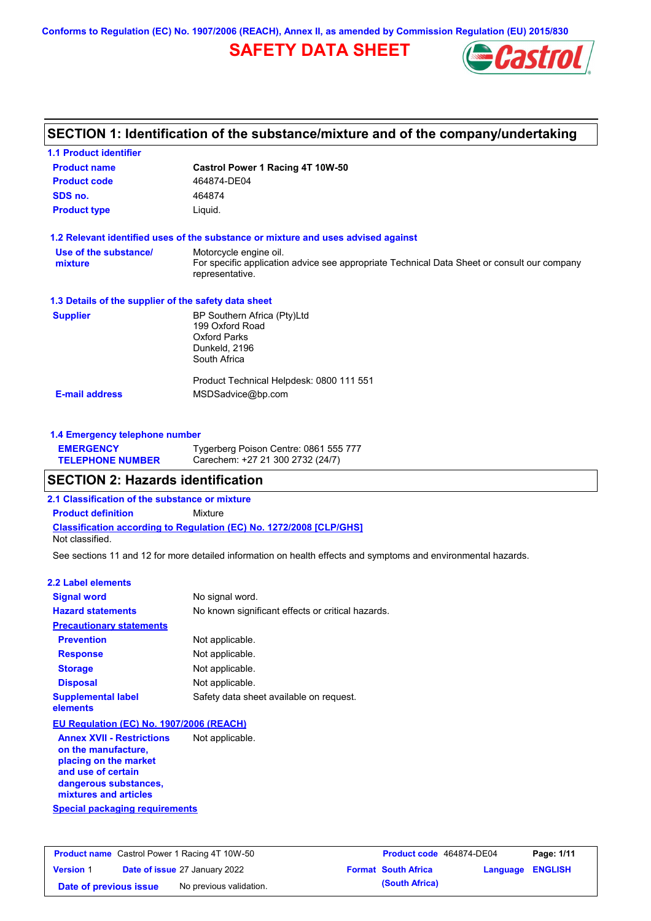**Conforms to Regulation (EC) No. 1907/2006 (REACH), Annex II, as amended by Commission Regulation (EU) 2015/830**

# **SAFETY DATA SHEET**



### **SECTION 1: Identification of the substance/mixture and of the company/undertaking**

| <b>1.1 Product identifier</b>                        |                                                                                                                |
|------------------------------------------------------|----------------------------------------------------------------------------------------------------------------|
| <b>Product name</b>                                  | Castrol Power 1 Racing 4T 10W-50                                                                               |
| <b>Product code</b>                                  | 464874-DE04                                                                                                    |
| SDS no.                                              | 464874                                                                                                         |
| <b>Product type</b>                                  | Liquid.                                                                                                        |
|                                                      | 1.2 Relevant identified uses of the substance or mixture and uses advised against                              |
| Use of the substance/                                | Motorcycle engine oil.                                                                                         |
| mixture                                              | For specific application advice see appropriate Technical Data Sheet or consult our company<br>representative. |
| 1.3 Details of the supplier of the safety data sheet |                                                                                                                |
| <b>Supplier</b>                                      | BP Southern Africa (Pty)Ltd                                                                                    |
|                                                      | 199 Oxford Road                                                                                                |
|                                                      | <b>Oxford Parks</b><br>Dunkeld, 2196                                                                           |
|                                                      | South Africa                                                                                                   |
|                                                      |                                                                                                                |
|                                                      | Product Technical Helpdesk: 0800 111 551                                                                       |
| <b>E-mail address</b>                                | MSDSadvice@bp.com                                                                                              |
|                                                      |                                                                                                                |
| 1.4 Emergency telephone number                       |                                                                                                                |

| <b>EMERGENCY</b>        | Tygerberg Poison Centre: 0861 555 777 |
|-------------------------|---------------------------------------|
| <b>TELEPHONE NUMBER</b> | Carechem: +27 21 300 2732 (24/7)      |

# **SECTION 2: Hazards identification**

**2.1 Classification of the substance or mixture**

**Classification according to Regulation (EC) No. 1272/2008 [CLP/GHS] Product definition** Mixture Not classified.

See sections 11 and 12 for more detailed information on health effects and symptoms and environmental hazards.

#### **2.2 Label elements**

| <b>Signal word</b>                                      | No signal word.                                   |
|---------------------------------------------------------|---------------------------------------------------|
| <b>Hazard statements</b>                                | No known significant effects or critical hazards. |
| <b>Precautionary statements</b>                         |                                                   |
| <b>Prevention</b>                                       | Not applicable.                                   |
| <b>Response</b>                                         | Not applicable.                                   |
| <b>Storage</b>                                          | Not applicable.                                   |
| <b>Disposal</b>                                         | Not applicable.                                   |
| <b>Supplemental label</b><br>elements                   | Safety data sheet available on request.           |
| EU Regulation (EC) No. 1907/2006 (REACH)                |                                                   |
| <b>Annex XVII - Restrictions</b><br>on the manufacture, | Not applicable.                                   |

**Special packaging requirements placing on the market and use of certain dangerous substances, mixtures and articles**

| <b>Product name</b> Castrol Power 1 Racing 4T 10W-50 |  | Product code 464874-DE04             |  | Page: 1/11                 |                         |  |
|------------------------------------------------------|--|--------------------------------------|--|----------------------------|-------------------------|--|
| <b>Version 1</b>                                     |  | <b>Date of issue 27 January 2022</b> |  | <b>Format South Africa</b> | <b>Language ENGLISH</b> |  |
| Date of previous issue                               |  | No previous validation.              |  | (South Africa)             |                         |  |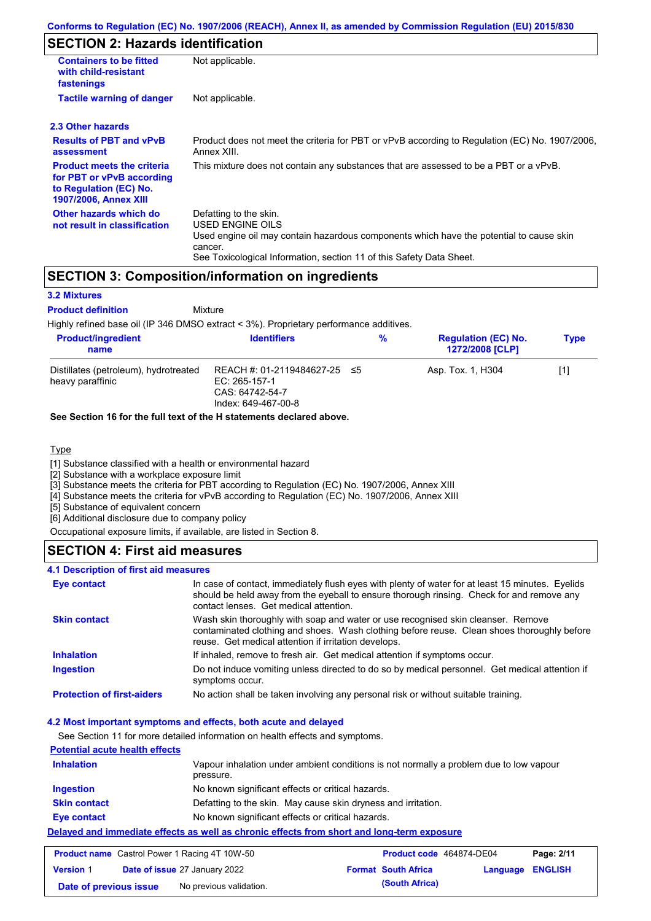# **SECTION 2: Hazards identification**

| <b>Containers to be fitted</b><br>with child-resistant<br>fastenings                                                     | Not applicable.                                                                                                                                                                                                          |  |  |  |  |
|--------------------------------------------------------------------------------------------------------------------------|--------------------------------------------------------------------------------------------------------------------------------------------------------------------------------------------------------------------------|--|--|--|--|
| <b>Tactile warning of danger</b>                                                                                         | Not applicable.                                                                                                                                                                                                          |  |  |  |  |
| 2.3 Other hazards                                                                                                        |                                                                                                                                                                                                                          |  |  |  |  |
| <b>Results of PBT and vPvB</b><br>assessment                                                                             | Product does not meet the criteria for PBT or vPvB according to Regulation (EC) No. 1907/2006,<br>Annex XIII.                                                                                                            |  |  |  |  |
| <b>Product meets the criteria</b><br>for PBT or vPvB according<br>to Regulation (EC) No.<br><b>1907/2006, Annex XIII</b> | This mixture does not contain any substances that are assessed to be a PBT or a vPvB.                                                                                                                                    |  |  |  |  |
| Other hazards which do<br>not result in classification                                                                   | Defatting to the skin.<br>USED ENGINE OILS<br>Used engine oil may contain hazardous components which have the potential to cause skin<br>cancer.<br>See Toxicological Information, section 11 of this Safety Data Sheet. |  |  |  |  |

### **SECTION 3: Composition/information on ingredients**

#### **3.2 Mixtures**

Mixture **Product definition**

Highly refined base oil (IP 346 DMSO extract < 3%). Proprietary performance additives.

| <b>Product/ingredient</b><br>name                         | <b>Identifiers</b>                                                                      | % | <b>Regulation (EC) No.</b><br><b>1272/2008 [CLP]</b> | <b>Type</b> |
|-----------------------------------------------------------|-----------------------------------------------------------------------------------------|---|------------------------------------------------------|-------------|
| Distillates (petroleum), hydrotreated<br>heavy paraffinic | REACH #: 01-2119484627-25 ≤5<br>EC: 265-157-1<br>CAS: 64742-54-7<br>Index: 649-467-00-8 |   | Asp. Tox. 1, H304                                    | [1]         |

#### **See Section 16 for the full text of the H statements declared above.**

#### **Type**

[1] Substance classified with a health or environmental hazard

[2] Substance with a workplace exposure limit

[3] Substance meets the criteria for PBT according to Regulation (EC) No. 1907/2006, Annex XIII

[4] Substance meets the criteria for vPvB according to Regulation (EC) No. 1907/2006, Annex XIII

[5] Substance of equivalent concern

[6] Additional disclosure due to company policy

Occupational exposure limits, if available, are listed in Section 8.

#### **SECTION 4: First aid measures**

#### **4.1 Description of first aid measures**

| Eye contact                       | In case of contact, immediately flush eyes with plenty of water for at least 15 minutes. Eyelids<br>should be held away from the eyeball to ensure thorough rinsing. Check for and remove any<br>contact lenses. Get medical attention. |
|-----------------------------------|-----------------------------------------------------------------------------------------------------------------------------------------------------------------------------------------------------------------------------------------|
| <b>Skin contact</b>               | Wash skin thoroughly with soap and water or use recognised skin cleanser. Remove<br>contaminated clothing and shoes. Wash clothing before reuse. Clean shoes thoroughly before<br>reuse. Get medical attention if irritation develops.  |
| <b>Inhalation</b>                 | If inhaled, remove to fresh air. Get medical attention if symptoms occur.                                                                                                                                                               |
| <b>Ingestion</b>                  | Do not induce vomiting unless directed to do so by medical personnel. Get medical attention if<br>symptoms occur.                                                                                                                       |
| <b>Protection of first-aiders</b> | No action shall be taken involving any personal risk or without suitable training.                                                                                                                                                      |

#### **4.2 Most important symptoms and effects, both acute and delayed**

See Section 11 for more detailed information on health effects and symptoms.

#### **Potential acute health effects Inhalation** Vapour inhalation under ambient conditions is not normally a problem due to low vapour

|                     | pressure.                                                                                   |  |
|---------------------|---------------------------------------------------------------------------------------------|--|
| <b>Ingestion</b>    | No known significant effects or critical hazards.                                           |  |
| <b>Skin contact</b> | Defatting to the skin. May cause skin dryness and irritation.                               |  |
| <b>Eye contact</b>  | No known significant effects or critical hazards.                                           |  |
|                     | Delaved and immediate effects as well as chronic effects from short and long-term exposure_ |  |

|                  | <b>Product name</b> Castrol Power 1 Racing 4T 10W-50 |                            | <b>Product code</b> 464874-DE04 | Page: 2/11 |
|------------------|------------------------------------------------------|----------------------------|---------------------------------|------------|
| <b>Version</b> 1 | <b>Date of issue 27 January 2022</b>                 | <b>Format South Africa</b> | <b>Language ENGLISH</b>         |            |

**Date of previous issue** No previous validation. **Conservation** (South Africa)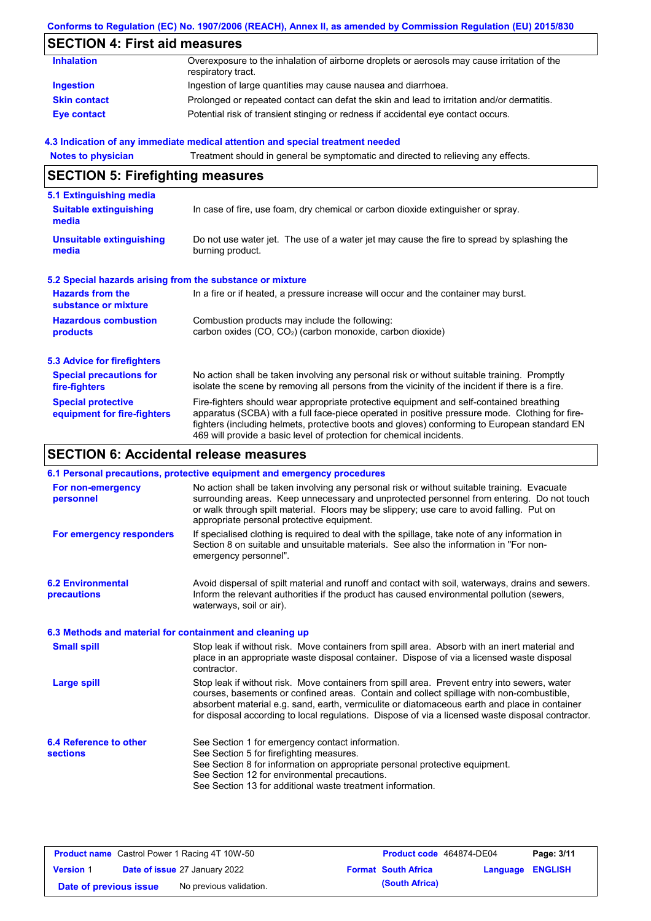### **Conforms to Regulation (EC) No. 1907/2006 (REACH), Annex II, as amended by Commission Regulation (EU) 2015/830**

# **SECTION 4: First aid measures**

| <b>Inhalation</b>   | Overexposure to the inhalation of airborne droplets or aerosols may cause irritation of the<br>respiratory tract. |
|---------------------|-------------------------------------------------------------------------------------------------------------------|
| Ingestion           | Ingestion of large quantities may cause nausea and diarrhoea.                                                     |
| <b>Skin contact</b> | Prolonged or repeated contact can defat the skin and lead to irritation and/or dermatitis.                        |
| <b>Eye contact</b>  | Potential risk of transient stinging or redness if accidental eye contact occurs.                                 |

#### **4.3 Indication of any immediate medical attention and special treatment needed**

| <b>Notes to physician</b>                                         | Treatment should in general be symptomatic and directed to relieving any effects.                                                                                                                                                                                                                                                                                 |  |  |  |
|-------------------------------------------------------------------|-------------------------------------------------------------------------------------------------------------------------------------------------------------------------------------------------------------------------------------------------------------------------------------------------------------------------------------------------------------------|--|--|--|
| <b>SECTION 5: Firefighting measures</b>                           |                                                                                                                                                                                                                                                                                                                                                                   |  |  |  |
| 5.1 Extinguishing media<br><b>Suitable extinguishing</b><br>media | In case of fire, use foam, dry chemical or carbon dioxide extinguisher or spray.                                                                                                                                                                                                                                                                                  |  |  |  |
| <b>Unsuitable extinguishing</b><br>media                          | Do not use water jet. The use of a water jet may cause the fire to spread by splashing the<br>burning product.                                                                                                                                                                                                                                                    |  |  |  |
| 5.2 Special hazards arising from the substance or mixture         |                                                                                                                                                                                                                                                                                                                                                                   |  |  |  |
| <b>Hazards from the</b><br>substance or mixture                   | In a fire or if heated, a pressure increase will occur and the container may burst.                                                                                                                                                                                                                                                                               |  |  |  |
| <b>Hazardous combustion</b><br>products                           | Combustion products may include the following:<br>carbon oxides (CO, CO <sub>2</sub> ) (carbon monoxide, carbon dioxide)                                                                                                                                                                                                                                          |  |  |  |
| <b>5.3 Advice for firefighters</b>                                |                                                                                                                                                                                                                                                                                                                                                                   |  |  |  |
| <b>Special precautions for</b><br>fire-fighters                   | No action shall be taken involving any personal risk or without suitable training. Promptly<br>isolate the scene by removing all persons from the vicinity of the incident if there is a fire.                                                                                                                                                                    |  |  |  |
| <b>Special protective</b><br>equipment for fire-fighters          | Fire-fighters should wear appropriate protective equipment and self-contained breathing<br>apparatus (SCBA) with a full face-piece operated in positive pressure mode. Clothing for fire-<br>fighters (including helmets, protective boots and gloves) conforming to European standard EN<br>469 will provide a basic level of protection for chemical incidents. |  |  |  |

# **SECTION 6: Accidental release measures**

|                                                          | 6.1 Personal precautions, protective equipment and emergency procedures                                                                                                                                                                                                                                                                                                                        |
|----------------------------------------------------------|------------------------------------------------------------------------------------------------------------------------------------------------------------------------------------------------------------------------------------------------------------------------------------------------------------------------------------------------------------------------------------------------|
| For non-emergency<br>personnel                           | No action shall be taken involving any personal risk or without suitable training. Evacuate<br>surrounding areas. Keep unnecessary and unprotected personnel from entering. Do not touch<br>or walk through spilt material. Floors may be slippery; use care to avoid falling. Put on<br>appropriate personal protective equipment.                                                            |
| For emergency responders                                 | If specialised clothing is required to deal with the spillage, take note of any information in<br>Section 8 on suitable and unsuitable materials. See also the information in "For non-<br>emergency personnel".                                                                                                                                                                               |
| <b>6.2 Environmental</b><br>precautions                  | Avoid dispersal of spilt material and runoff and contact with soil, waterways, drains and sewers.<br>Inform the relevant authorities if the product has caused environmental pollution (sewers,<br>waterways, soil or air).                                                                                                                                                                    |
| 6.3 Methods and material for containment and cleaning up |                                                                                                                                                                                                                                                                                                                                                                                                |
| <b>Small spill</b>                                       | Stop leak if without risk. Move containers from spill area. Absorb with an inert material and<br>place in an appropriate waste disposal container. Dispose of via a licensed waste disposal<br>contractor.                                                                                                                                                                                     |
| <b>Large spill</b>                                       | Stop leak if without risk. Move containers from spill area. Prevent entry into sewers, water<br>courses, basements or confined areas. Contain and collect spillage with non-combustible,<br>absorbent material e.g. sand, earth, vermiculite or diatomaceous earth and place in container<br>for disposal according to local regulations. Dispose of via a licensed waste disposal contractor. |
| 6.4 Reference to other<br><b>sections</b>                | See Section 1 for emergency contact information.<br>See Section 5 for firefighting measures.<br>See Section 8 for information on appropriate personal protective equipment.<br>See Section 12 for environmental precautions.<br>See Section 13 for additional waste treatment information.                                                                                                     |

|                        | <b>Product name</b> Castrol Power 1 Racing 4T 10W-50 | <b>Product code</b> 464874-DE04 |                         | Page: 3/11 |
|------------------------|------------------------------------------------------|---------------------------------|-------------------------|------------|
| <b>Version 1</b>       | <b>Date of issue 27 January 2022</b>                 | <b>Format South Africa</b>      | <b>Language ENGLISH</b> |            |
| Date of previous issue | No previous validation.                              | (South Africa)                  |                         |            |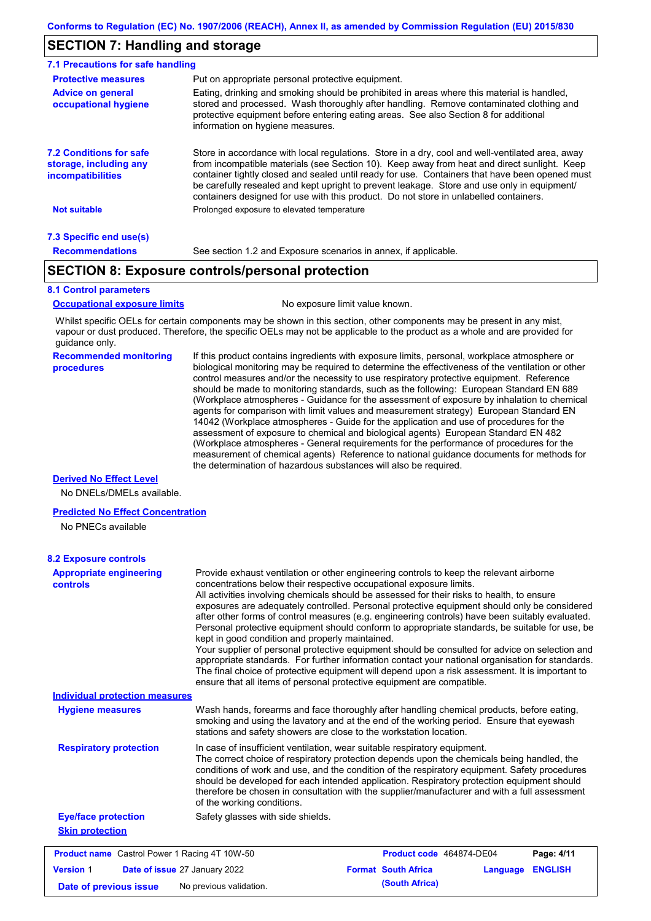### **SECTION 7: Handling and storage**

| 7.1 Precautions for safe handling                                                    |                                                                                                                                                                                                                                                                                                                                                                                                                                                                                          |
|--------------------------------------------------------------------------------------|------------------------------------------------------------------------------------------------------------------------------------------------------------------------------------------------------------------------------------------------------------------------------------------------------------------------------------------------------------------------------------------------------------------------------------------------------------------------------------------|
| <b>Protective measures</b>                                                           | Put on appropriate personal protective equipment.                                                                                                                                                                                                                                                                                                                                                                                                                                        |
| <b>Advice on general</b><br>occupational hygiene                                     | Eating, drinking and smoking should be prohibited in areas where this material is handled,<br>stored and processed. Wash thoroughly after handling. Remove contaminated clothing and<br>protective equipment before entering eating areas. See also Section 8 for additional<br>information on hygiene measures.                                                                                                                                                                         |
| <b>7.2 Conditions for safe</b><br>storage, including any<br><i>incompatibilities</i> | Store in accordance with local requlations. Store in a dry, cool and well-ventilated area, away<br>from incompatible materials (see Section 10). Keep away from heat and direct sunlight. Keep<br>container tightly closed and sealed until ready for use. Containers that have been opened must<br>be carefully resealed and kept upright to prevent leakage. Store and use only in equipment/<br>containers designed for use with this product. Do not store in unlabelled containers. |
| <b>Not suitable</b>                                                                  | Prolonged exposure to elevated temperature                                                                                                                                                                                                                                                                                                                                                                                                                                               |
| 7.3 Specific end use(s)                                                              |                                                                                                                                                                                                                                                                                                                                                                                                                                                                                          |
| <b>Recommendations</b>                                                               | See section 1.2 and Exposure scenarios in annex, if applicable.                                                                                                                                                                                                                                                                                                                                                                                                                          |

### **SECTION 8: Exposure controls/personal protection**

#### **8.1 Control parameters**

**Occupational exposure limits** No exposure limit value known.

Whilst specific OELs for certain components may be shown in this section, other components may be present in any mist, vapour or dust produced. Therefore, the specific OELs may not be applicable to the product as a whole and are provided for guidance only.

#### **Recommended monitoring procedures**

If this product contains ingredients with exposure limits, personal, workplace atmosphere or biological monitoring may be required to determine the effectiveness of the ventilation or other control measures and/or the necessity to use respiratory protective equipment. Reference should be made to monitoring standards, such as the following: European Standard EN 689 (Workplace atmospheres - Guidance for the assessment of exposure by inhalation to chemical agents for comparison with limit values and measurement strategy) European Standard EN 14042 (Workplace atmospheres - Guide for the application and use of procedures for the assessment of exposure to chemical and biological agents) European Standard EN 482 (Workplace atmospheres - General requirements for the performance of procedures for the measurement of chemical agents) Reference to national guidance documents for methods for the determination of hazardous substances will also be required.

#### **Derived No Effect Level**

No DNELs/DMELs available.

#### **Predicted No Effect Concentration**

No PNECs available

| <b>Appropriate engineering</b><br><b>controls</b>    | Provide exhaust ventilation or other engineering controls to keep the relevant airborne<br>concentrations below their respective occupational exposure limits.<br>All activities involving chemicals should be assessed for their risks to health, to ensure<br>exposures are adequately controlled. Personal protective equipment should only be considered<br>after other forms of control measures (e.g. engineering controls) have been suitably evaluated.<br>Personal protective equipment should conform to appropriate standards, be suitable for use, be<br>kept in good condition and properly maintained.<br>Your supplier of personal protective equipment should be consulted for advice on selection and<br>appropriate standards. For further information contact your national organisation for standards.<br>The final choice of protective equipment will depend upon a risk assessment. It is important to<br>ensure that all items of personal protective equipment are compatible. |                                        |                |
|------------------------------------------------------|---------------------------------------------------------------------------------------------------------------------------------------------------------------------------------------------------------------------------------------------------------------------------------------------------------------------------------------------------------------------------------------------------------------------------------------------------------------------------------------------------------------------------------------------------------------------------------------------------------------------------------------------------------------------------------------------------------------------------------------------------------------------------------------------------------------------------------------------------------------------------------------------------------------------------------------------------------------------------------------------------------|----------------------------------------|----------------|
| <b>Individual protection measures</b>                |                                                                                                                                                                                                                                                                                                                                                                                                                                                                                                                                                                                                                                                                                                                                                                                                                                                                                                                                                                                                         |                                        |                |
| <b>Hygiene measures</b>                              | Wash hands, forearms and face thoroughly after handling chemical products, before eating,<br>smoking and using the lavatory and at the end of the working period. Ensure that eyewash<br>stations and safety showers are close to the workstation location.                                                                                                                                                                                                                                                                                                                                                                                                                                                                                                                                                                                                                                                                                                                                             |                                        |                |
| <b>Respiratory protection</b>                        | In case of insufficient ventilation, wear suitable respiratory equipment.<br>The correct choice of respiratory protection depends upon the chemicals being handled, the<br>conditions of work and use, and the condition of the respiratory equipment. Safety procedures<br>should be developed for each intended application. Respiratory protection equipment should<br>therefore be chosen in consultation with the supplier/manufacturer and with a full assessment<br>of the working conditions.                                                                                                                                                                                                                                                                                                                                                                                                                                                                                                   |                                        |                |
| <b>Eye/face protection</b>                           | Safety glasses with side shields.                                                                                                                                                                                                                                                                                                                                                                                                                                                                                                                                                                                                                                                                                                                                                                                                                                                                                                                                                                       |                                        |                |
| <b>Skin protection</b>                               |                                                                                                                                                                                                                                                                                                                                                                                                                                                                                                                                                                                                                                                                                                                                                                                                                                                                                                                                                                                                         |                                        |                |
| <b>Product name</b> Castrol Power 1 Racing 4T 10W-50 |                                                                                                                                                                                                                                                                                                                                                                                                                                                                                                                                                                                                                                                                                                                                                                                                                                                                                                                                                                                                         | Product code 464874-DE04               | Page: 4/11     |
| <b>Version 1</b>                                     | Date of issue 27 January 2022                                                                                                                                                                                                                                                                                                                                                                                                                                                                                                                                                                                                                                                                                                                                                                                                                                                                                                                                                                           | <b>Format South Africa</b><br>Language | <b>ENGLISH</b> |
| Date of previous issue                               | No previous validation.                                                                                                                                                                                                                                                                                                                                                                                                                                                                                                                                                                                                                                                                                                                                                                                                                                                                                                                                                                                 | (South Africa)                         |                |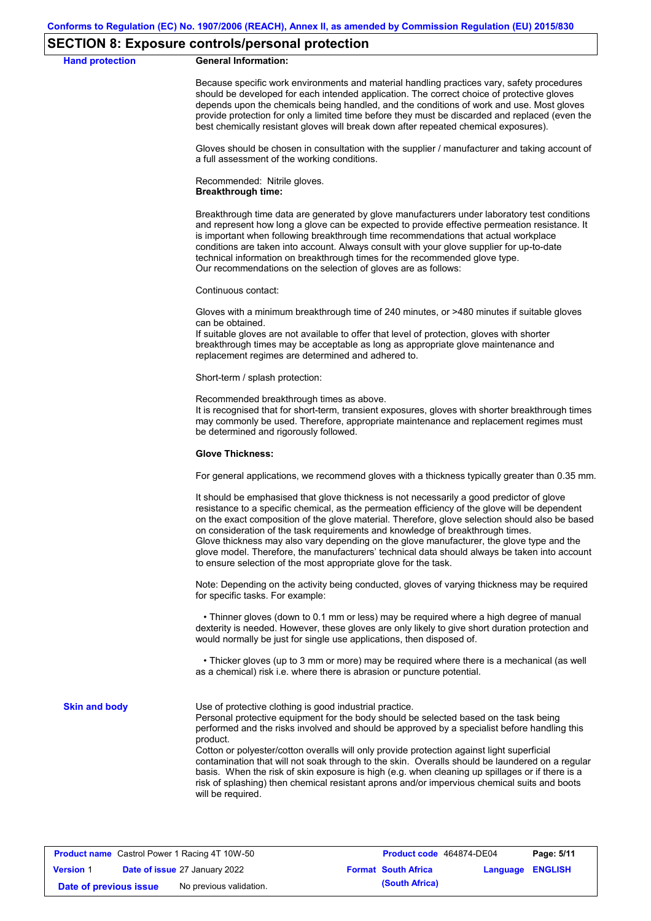#### **SECTION 8: Exposure controls/personal protection**

#### **Hand protection General Information:**

Because specific work environments and material handling practices vary, safety procedures should be developed for each intended application. The correct choice of protective gloves depends upon the chemicals being handled, and the conditions of work and use. Most gloves provide protection for only a limited time before they must be discarded and replaced (even the best chemically resistant gloves will break down after repeated chemical exposures).

Gloves should be chosen in consultation with the supplier / manufacturer and taking account of a full assessment of the working conditions.

Recommended: Nitrile gloves. **Breakthrough time:**

Breakthrough time data are generated by glove manufacturers under laboratory test conditions and represent how long a glove can be expected to provide effective permeation resistance. It is important when following breakthrough time recommendations that actual workplace conditions are taken into account. Always consult with your glove supplier for up-to-date technical information on breakthrough times for the recommended glove type. Our recommendations on the selection of gloves are as follows:

Continuous contact:

Gloves with a minimum breakthrough time of 240 minutes, or >480 minutes if suitable gloves can be obtained.

If suitable gloves are not available to offer that level of protection, gloves with shorter breakthrough times may be acceptable as long as appropriate glove maintenance and replacement regimes are determined and adhered to.

Short-term / splash protection:

Recommended breakthrough times as above.

It is recognised that for short-term, transient exposures, gloves with shorter breakthrough times may commonly be used. Therefore, appropriate maintenance and replacement regimes must be determined and rigorously followed.

#### **Glove Thickness:**

For general applications, we recommend gloves with a thickness typically greater than 0.35 mm.

It should be emphasised that glove thickness is not necessarily a good predictor of glove resistance to a specific chemical, as the permeation efficiency of the glove will be dependent on the exact composition of the glove material. Therefore, glove selection should also be based on consideration of the task requirements and knowledge of breakthrough times. Glove thickness may also vary depending on the glove manufacturer, the glove type and the glove model. Therefore, the manufacturers' technical data should always be taken into account to ensure selection of the most appropriate glove for the task.

Note: Depending on the activity being conducted, gloves of varying thickness may be required for specific tasks. For example:

 • Thinner gloves (down to 0.1 mm or less) may be required where a high degree of manual dexterity is needed. However, these gloves are only likely to give short duration protection and would normally be just for single use applications, then disposed of.

 • Thicker gloves (up to 3 mm or more) may be required where there is a mechanical (as well as a chemical) risk i.e. where there is abrasion or puncture potential.

**Skin and body**

Use of protective clothing is good industrial practice.

Personal protective equipment for the body should be selected based on the task being performed and the risks involved and should be approved by a specialist before handling this product.

Cotton or polyester/cotton overalls will only provide protection against light superficial contamination that will not soak through to the skin. Overalls should be laundered on a regular basis. When the risk of skin exposure is high (e.g. when cleaning up spillages or if there is a risk of splashing) then chemical resistant aprons and/or impervious chemical suits and boots will be required.

|                        | <b>Product name</b> Castrol Power 1 Racing 4T 10W-50 | Product code 464874-DE04   |                         | Page: 5/11 |
|------------------------|------------------------------------------------------|----------------------------|-------------------------|------------|
| <b>Version 1</b>       | <b>Date of issue 27 January 2022</b>                 | <b>Format South Africa</b> | <b>Language ENGLISH</b> |            |
| Date of previous issue | No previous validation.                              | (South Africa)             |                         |            |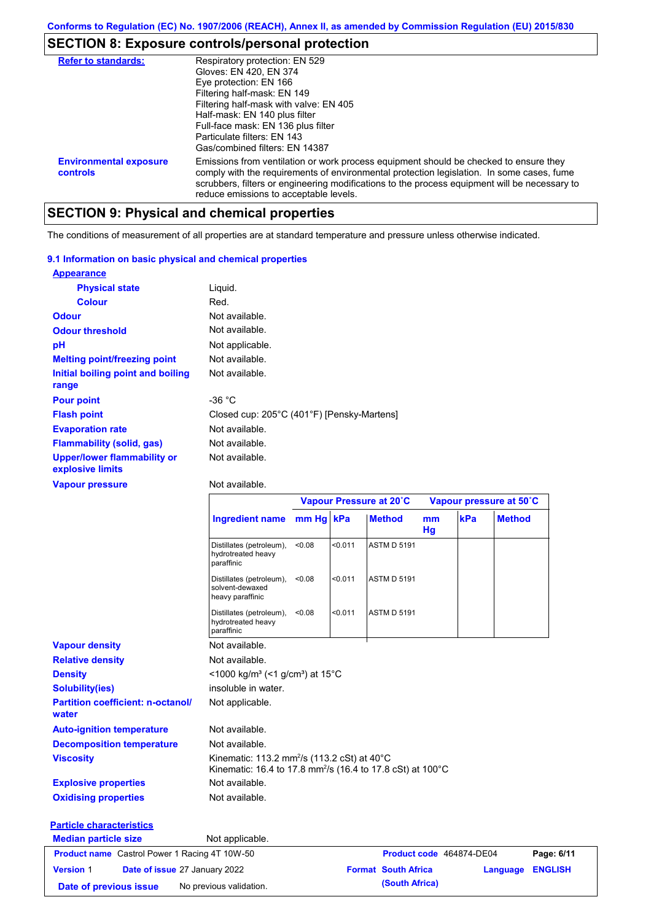# **SECTION 8: Exposure controls/personal protection**

| <b>Refer to standards:</b>                | Respiratory protection: EN 529<br>Gloves: EN 420, EN 374<br>Eye protection: EN 166<br>Filtering half-mask: EN 149<br>Filtering half-mask with valve: EN 405<br>Half-mask: EN 140 plus filter<br>Full-face mask: EN 136 plus filter<br>Particulate filters: FN 143<br>Gas/combined filters: EN 14387                           |
|-------------------------------------------|-------------------------------------------------------------------------------------------------------------------------------------------------------------------------------------------------------------------------------------------------------------------------------------------------------------------------------|
| <b>Environmental exposure</b><br>controls | Emissions from ventilation or work process equipment should be checked to ensure they<br>comply with the requirements of environmental protection legislation. In some cases, fume<br>scrubbers, filters or engineering modifications to the process equipment will be necessary to<br>reduce emissions to acceptable levels. |

# **SECTION 9: Physical and chemical properties**

The conditions of measurement of all properties are at standard temperature and pressure unless otherwise indicated.

#### **9.1 Information on basic physical and chemical properties**

| <b>Appearance</b>                                      |                                            |
|--------------------------------------------------------|--------------------------------------------|
| <b>Physical state</b>                                  | Liquid.                                    |
| <b>Colour</b>                                          | Red.                                       |
| <b>Odour</b>                                           | Not available.                             |
| <b>Odour threshold</b>                                 | Not available.                             |
| рH                                                     | Not applicable.                            |
| <b>Melting point/freezing point</b>                    | Not available.                             |
| Initial boiling point and boiling<br>range             | Not available.                             |
| <b>Pour point</b>                                      | -36 $^{\circ}$ C                           |
| <b>Flash point</b>                                     | Closed cup: 205°C (401°F) [Pensky-Martens] |
| <b>Evaporation rate</b>                                | Not available.                             |
| <b>Flammability (solid, gas)</b>                       | Not available.                             |
| <b>Upper/lower flammability or</b><br>explosive limits | Not available.                             |

#### **Vapour pressure**

Not available.

|                                                      |                                                                                                                                   | Vapour Pressure at 20°C |         |                            |          | Vapour pressure at 50°C  |               |                |
|------------------------------------------------------|-----------------------------------------------------------------------------------------------------------------------------------|-------------------------|---------|----------------------------|----------|--------------------------|---------------|----------------|
|                                                      | Ingredient name mm Hg kPa                                                                                                         |                         |         | <b>Method</b>              | mm<br>Hg | kPa                      | <b>Method</b> |                |
|                                                      | Distillates (petroleum),<br>hydrotreated heavy<br>paraffinic                                                                      | < 0.08                  | < 0.011 | <b>ASTM D 5191</b>         |          |                          |               |                |
|                                                      | Distillates (petroleum),<br>solvent-dewaxed<br>heavy paraffinic                                                                   | < 0.08                  | < 0.011 | <b>ASTM D 5191</b>         |          |                          |               |                |
|                                                      | Distillates (petroleum),<br>hydrotreated heavy<br>paraffinic                                                                      | < 0.08                  | < 0.011 | <b>ASTM D 5191</b>         |          |                          |               |                |
| <b>Vapour density</b>                                | Not available.                                                                                                                    |                         |         |                            |          |                          |               |                |
| <b>Relative density</b>                              | Not available.                                                                                                                    |                         |         |                            |          |                          |               |                |
| <b>Density</b>                                       | <1000 kg/m <sup>3</sup> (<1 g/cm <sup>3</sup> ) at 15 <sup>°</sup> C                                                              |                         |         |                            |          |                          |               |                |
| <b>Solubility(ies)</b>                               | insoluble in water.                                                                                                               |                         |         |                            |          |                          |               |                |
| <b>Partition coefficient: n-octanol/</b><br>water    | Not applicable.                                                                                                                   |                         |         |                            |          |                          |               |                |
| <b>Auto-ignition temperature</b>                     | Not available.                                                                                                                    |                         |         |                            |          |                          |               |                |
| <b>Decomposition temperature</b>                     | Not available.                                                                                                                    |                         |         |                            |          |                          |               |                |
| <b>Viscosity</b>                                     | Kinematic: 113.2 mm <sup>2</sup> /s (113.2 cSt) at 40°C<br>Kinematic: 16.4 to 17.8 mm <sup>2</sup> /s (16.4 to 17.8 cSt) at 100°C |                         |         |                            |          |                          |               |                |
| <b>Explosive properties</b>                          | Not available.                                                                                                                    |                         |         |                            |          |                          |               |                |
| <b>Oxidising properties</b>                          | Not available.                                                                                                                    |                         |         |                            |          |                          |               |                |
| <b>Particle characteristics</b>                      |                                                                                                                                   |                         |         |                            |          |                          |               |                |
| <b>Median particle size</b>                          | Not applicable.                                                                                                                   |                         |         |                            |          |                          |               |                |
| <b>Product name</b> Castrol Power 1 Racing 4T 10W-50 |                                                                                                                                   |                         |         |                            |          | Product code 464874-DE04 |               | Page: 6/11     |
| <b>Version 1</b><br>Date of issue 27 January 2022    |                                                                                                                                   |                         |         | <b>Format South Africa</b> |          |                          | Language      | <b>ENGLISH</b> |
| Date of previous issue                               | No previous validation.                                                                                                           |                         |         | (South Africa)             |          |                          |               |                |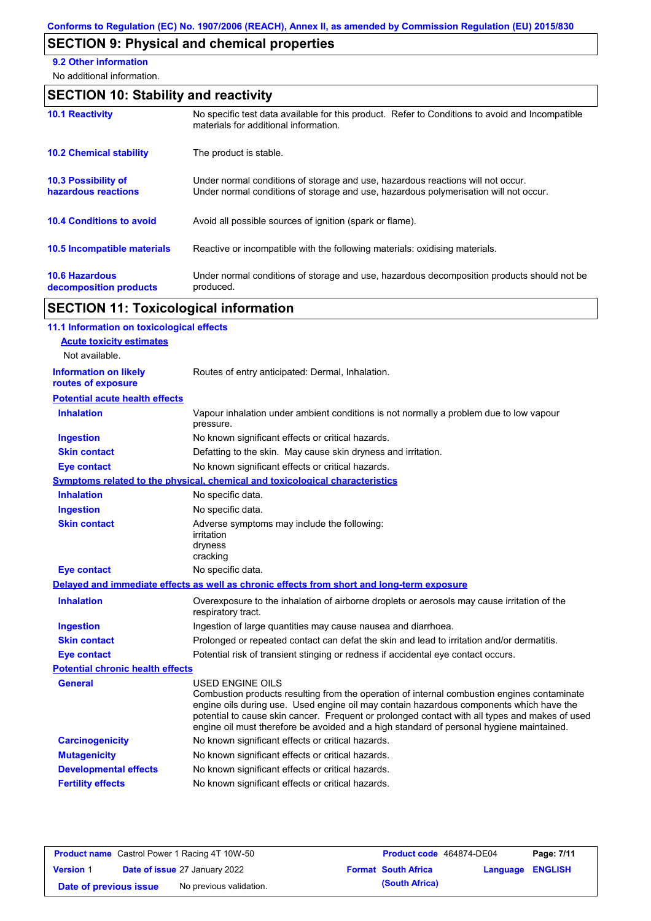# **SECTION 9: Physical and chemical properties**

**9.2 Other information**

No additional information.

# **SECTION 10: Stability and reactivity**

| <b>10.1 Reactivity</b>                            | No specific test data available for this product. Refer to Conditions to avoid and Incompatible<br>materials for additional information.                                |
|---------------------------------------------------|-------------------------------------------------------------------------------------------------------------------------------------------------------------------------|
| <b>10.2 Chemical stability</b>                    | The product is stable.                                                                                                                                                  |
| <b>10.3 Possibility of</b><br>hazardous reactions | Under normal conditions of storage and use, hazardous reactions will not occur.<br>Under normal conditions of storage and use, hazardous polymerisation will not occur. |
| <b>10.4 Conditions to avoid</b>                   | Avoid all possible sources of ignition (spark or flame).                                                                                                                |
| <b>10.5 Incompatible materials</b>                | Reactive or incompatible with the following materials: oxidising materials.                                                                                             |
| <b>10.6 Hazardous</b><br>decomposition products   | Under normal conditions of storage and use, hazardous decomposition products should not be<br>produced.                                                                 |

# **SECTION 11: Toxicological information**

| 11.1 Information on toxicological effects          |                                                                                                                                                                                                                                                                                                                                                                                                                 |
|----------------------------------------------------|-----------------------------------------------------------------------------------------------------------------------------------------------------------------------------------------------------------------------------------------------------------------------------------------------------------------------------------------------------------------------------------------------------------------|
| <b>Acute toxicity estimates</b>                    |                                                                                                                                                                                                                                                                                                                                                                                                                 |
| Not available.                                     |                                                                                                                                                                                                                                                                                                                                                                                                                 |
| <b>Information on likely</b><br>routes of exposure | Routes of entry anticipated: Dermal, Inhalation.                                                                                                                                                                                                                                                                                                                                                                |
| <b>Potential acute health effects</b>              |                                                                                                                                                                                                                                                                                                                                                                                                                 |
| <b>Inhalation</b>                                  | Vapour inhalation under ambient conditions is not normally a problem due to low vapour<br>pressure.                                                                                                                                                                                                                                                                                                             |
| <b>Ingestion</b>                                   | No known significant effects or critical hazards.                                                                                                                                                                                                                                                                                                                                                               |
| <b>Skin contact</b>                                | Defatting to the skin. May cause skin dryness and irritation.                                                                                                                                                                                                                                                                                                                                                   |
| <b>Eye contact</b>                                 | No known significant effects or critical hazards.                                                                                                                                                                                                                                                                                                                                                               |
|                                                    | <b>Symptoms related to the physical, chemical and toxicological characteristics</b>                                                                                                                                                                                                                                                                                                                             |
| <b>Inhalation</b>                                  | No specific data.                                                                                                                                                                                                                                                                                                                                                                                               |
| <b>Ingestion</b>                                   | No specific data.                                                                                                                                                                                                                                                                                                                                                                                               |
| <b>Skin contact</b>                                | Adverse symptoms may include the following:<br>irritation<br>dryness<br>cracking                                                                                                                                                                                                                                                                                                                                |
| <b>Eye contact</b>                                 | No specific data.                                                                                                                                                                                                                                                                                                                                                                                               |
|                                                    | Delayed and immediate effects as well as chronic effects from short and long-term exposure                                                                                                                                                                                                                                                                                                                      |
| <b>Inhalation</b>                                  | Overexposure to the inhalation of airborne droplets or aerosols may cause irritation of the<br>respiratory tract.                                                                                                                                                                                                                                                                                               |
| <b>Ingestion</b>                                   | Ingestion of large quantities may cause nausea and diarrhoea.                                                                                                                                                                                                                                                                                                                                                   |
| <b>Skin contact</b>                                | Prolonged or repeated contact can defat the skin and lead to irritation and/or dermatitis.                                                                                                                                                                                                                                                                                                                      |
| <b>Eye contact</b>                                 | Potential risk of transient stinging or redness if accidental eye contact occurs.                                                                                                                                                                                                                                                                                                                               |
| <b>Potential chronic health effects</b>            |                                                                                                                                                                                                                                                                                                                                                                                                                 |
| General                                            | <b>USED ENGINE OILS</b><br>Combustion products resulting from the operation of internal combustion engines contaminate<br>engine oils during use. Used engine oil may contain hazardous components which have the<br>potential to cause skin cancer. Frequent or prolonged contact with all types and makes of used<br>engine oil must therefore be avoided and a high standard of personal hygiene maintained. |
| <b>Carcinogenicity</b>                             | No known significant effects or critical hazards.                                                                                                                                                                                                                                                                                                                                                               |
| <b>Mutagenicity</b>                                | No known significant effects or critical hazards.                                                                                                                                                                                                                                                                                                                                                               |
| <b>Developmental effects</b>                       | No known significant effects or critical hazards.                                                                                                                                                                                                                                                                                                                                                               |
| <b>Fertility effects</b>                           | No known significant effects or critical hazards.                                                                                                                                                                                                                                                                                                                                                               |
|                                                    |                                                                                                                                                                                                                                                                                                                                                                                                                 |

|                        | <b>Product name</b> Castrol Power 1 Racing 4T 10W-50 | Product code 464874-DE04   |                  | Page: 7/11 |
|------------------------|------------------------------------------------------|----------------------------|------------------|------------|
| <b>Version 1</b>       | <b>Date of issue 27 January 2022</b>                 | <b>Format South Africa</b> | Language ENGLISH |            |
| Date of previous issue | No previous validation.                              | (South Africa)             |                  |            |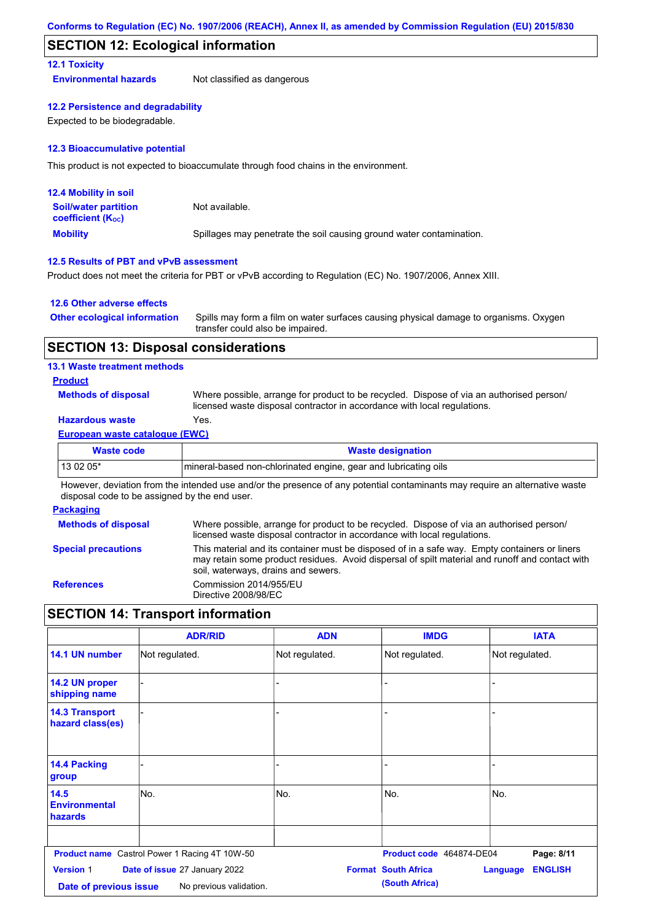### **SECTION 12: Ecological information**

#### **12.1 Toxicity**

**Environmental hazards** Not classified as dangerous

#### **12.2 Persistence and degradability**

Expected to be biodegradable.

#### **12.3 Bioaccumulative potential**

This product is not expected to bioaccumulate through food chains in the environment.

| <b>12.4 Mobility in soil</b>                                  |                                                                      |
|---------------------------------------------------------------|----------------------------------------------------------------------|
| <b>Soil/water partition</b><br>coefficient (K <sub>oc</sub> ) | Not available.                                                       |
| <b>Mobility</b>                                               | Spillages may penetrate the soil causing ground water contamination. |

#### **12.5 Results of PBT and vPvB assessment**

Product does not meet the criteria for PBT or vPvB according to Regulation (EC) No. 1907/2006, Annex XIII.

#### **12.6 Other adverse effects**

| <b>Other ecological information</b> | Spills may form a film on water surfaces causing physical damage to organisms. Oxygen |
|-------------------------------------|---------------------------------------------------------------------------------------|
|                                     | transfer could also be impaired.                                                      |

#### **SECTION 13: Disposal considerations**

#### **13.1 Waste treatment methods**

#### **Product**

**Methods of disposal**

Where possible, arrange for product to be recycled. Dispose of via an authorised person/ licensed waste disposal contractor in accordance with local regulations.

### **Hazardous waste** Yes.

#### **European waste catalogue (EWC)**

| Waste code | <b>Waste designation</b>                                         |
|------------|------------------------------------------------------------------|
| $130205*$  | Imineral-based non-chlorinated engine, gear and lubricating oils |

However, deviation from the intended use and/or the presence of any potential contaminants may require an alternative waste disposal code to be assigned by the end user.

#### **Packaging**

| <b>Methods of disposal</b> | Where possible, arrange for product to be recycled. Dispose of via an authorised person/<br>licensed waste disposal contractor in accordance with local regulations.                                                                    |
|----------------------------|-----------------------------------------------------------------------------------------------------------------------------------------------------------------------------------------------------------------------------------------|
| <b>Special precautions</b> | This material and its container must be disposed of in a safe way. Empty containers or liners<br>may retain some product residues. Avoid dispersal of spilt material and runoff and contact with<br>soil, waterways, drains and sewers. |
| <b>References</b>          | Commission 2014/955/EU<br>Directive 2008/98/EC                                                                                                                                                                                          |

# **SECTION 14: Transport information**

|                                                                                                        | <b>ADR/RID</b>                                       | <b>ADN</b>     | <b>IMDG</b>                                  | <b>IATA</b>                       |
|--------------------------------------------------------------------------------------------------------|------------------------------------------------------|----------------|----------------------------------------------|-----------------------------------|
| 14.1 UN number                                                                                         | Not regulated.                                       | Not regulated. | Not regulated.                               | Not regulated.                    |
| 14.2 UN proper<br>shipping name                                                                        |                                                      | ٠              |                                              |                                   |
| <b>14.3 Transport</b><br>hazard class(es)                                                              |                                                      |                |                                              |                                   |
| 14.4 Packing<br>group                                                                                  |                                                      |                |                                              |                                   |
| 14.5<br><b>Environmental</b><br>hazards                                                                | lNo.                                                 | No.            | No.                                          | No.                               |
|                                                                                                        | <b>Product name</b> Castrol Power 1 Racing 4T 10W-50 |                | Product code 464874-DE04                     | Page: 8/11                        |
| <b>Version 1</b><br>Date of issue 27 January 2022<br>No previous validation.<br>Date of previous issue |                                                      |                | <b>Format South Africa</b><br>(South Africa) | <b>ENGLISH</b><br><b>Language</b> |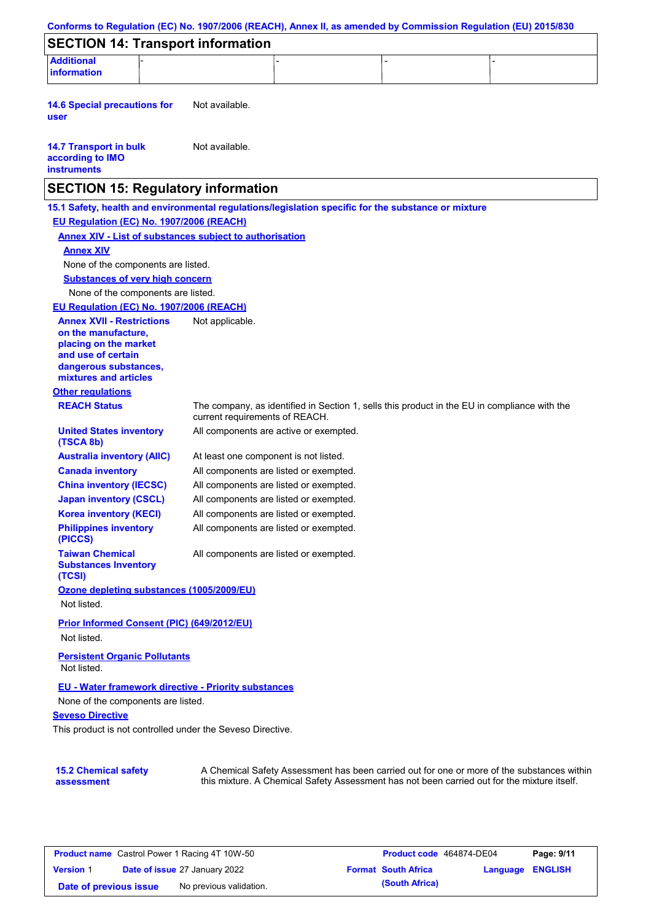| <b>Additional</b><br><b>information</b><br><b>14.6 Special precautions for</b><br>user<br><b>14.7 Transport in bulk</b><br>according to IMO | Not available.<br>Not available.      |                                                                                              |  |
|---------------------------------------------------------------------------------------------------------------------------------------------|---------------------------------------|----------------------------------------------------------------------------------------------|--|
|                                                                                                                                             |                                       |                                                                                              |  |
|                                                                                                                                             |                                       |                                                                                              |  |
| <b>instruments</b>                                                                                                                          |                                       |                                                                                              |  |
| <b>SECTION 15: Regulatory information</b>                                                                                                   |                                       |                                                                                              |  |
| 15.1 Safety, health and environmental regulations/legislation specific for the substance or mixture                                         |                                       |                                                                                              |  |
| EU Regulation (EC) No. 1907/2006 (REACH)                                                                                                    |                                       |                                                                                              |  |
| <b>Annex XIV - List of substances subject to authorisation</b><br><b>Annex XIV</b>                                                          |                                       |                                                                                              |  |
| None of the components are listed.                                                                                                          |                                       |                                                                                              |  |
| <b>Substances of very high concern</b>                                                                                                      |                                       |                                                                                              |  |
| None of the components are listed.                                                                                                          |                                       |                                                                                              |  |
| EU Regulation (EC) No. 1907/2006 (REACH)                                                                                                    |                                       |                                                                                              |  |
| <b>Annex XVII - Restrictions</b>                                                                                                            | Not applicable.                       |                                                                                              |  |
| on the manufacture.<br>placing on the market                                                                                                |                                       |                                                                                              |  |
| and use of certain<br>dangerous substances,<br>mixtures and articles                                                                        |                                       |                                                                                              |  |
| <b>Other regulations</b>                                                                                                                    |                                       |                                                                                              |  |
| <b>REACH Status</b>                                                                                                                         | current requirements of REACH.        | The company, as identified in Section 1, sells this product in the EU in compliance with the |  |
| <b>United States inventory</b><br>(TSCA 8b)                                                                                                 |                                       | All components are active or exempted.                                                       |  |
| <b>Australia inventory (AIIC)</b>                                                                                                           | At least one component is not listed. |                                                                                              |  |
| <b>Canada inventory</b>                                                                                                                     |                                       | All components are listed or exempted.                                                       |  |
| <b>China inventory (IECSC)</b>                                                                                                              |                                       | All components are listed or exempted.                                                       |  |
| <b>Japan inventory (CSCL)</b>                                                                                                               |                                       | All components are listed or exempted.                                                       |  |
| <b>Korea inventory (KECI)</b>                                                                                                               |                                       | All components are listed or exempted.                                                       |  |
| <b>Philippines inventory</b><br>(PICCS)                                                                                                     |                                       | All components are listed or exempted.                                                       |  |
| <b>Taiwan Chemical</b><br><b>Substances Inventory</b><br>(TCSI)                                                                             |                                       | All components are listed or exempted.                                                       |  |
| Ozone depleting substances (1005/2009/EU)<br>Not listed.                                                                                    |                                       |                                                                                              |  |
| Prior Informed Consent (PIC) (649/2012/EU)<br>Not listed.                                                                                   |                                       |                                                                                              |  |
| <b>Persistent Organic Pollutants</b><br>Not listed.                                                                                         |                                       |                                                                                              |  |
| EU - Water framework directive - Priority substances<br>None of the components are listed.                                                  |                                       |                                                                                              |  |
| <b>Seveso Directive</b><br>This product is not controlled under the Seveso Directive.                                                       |                                       |                                                                                              |  |

| <b>Product name</b> Castrol Power 1 Racing 4T 10W-50 |  | <b>Product code</b> 464874-DE04      |  | Page: 9/11                 |                         |  |
|------------------------------------------------------|--|--------------------------------------|--|----------------------------|-------------------------|--|
| <b>Version 1</b>                                     |  | <b>Date of issue 27 January 2022</b> |  | <b>Format South Africa</b> | <b>Language ENGLISH</b> |  |
| Date of previous issue                               |  | No previous validation.              |  | (South Africa)             |                         |  |

this mixture. A Chemical Safety Assessment has not been carried out for the mixture itself.

**assessment**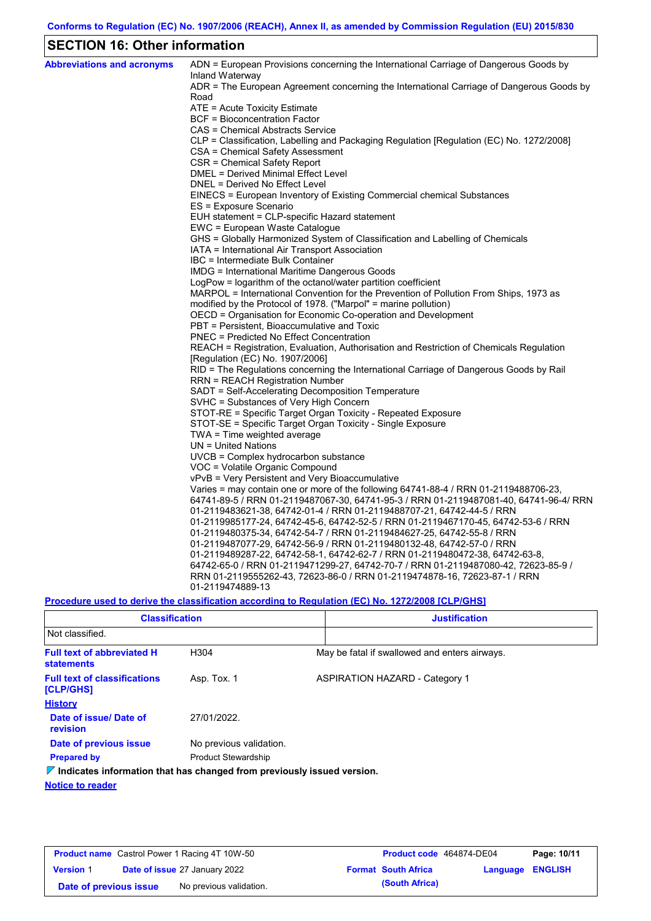# **SECTION 16: Other information**

| <b>Abbreviations and acronyms</b> | ADN = European Provisions concerning the International Carriage of Dangerous Goods by<br>Inland Waterway |
|-----------------------------------|----------------------------------------------------------------------------------------------------------|
|                                   | ADR = The European Agreement concerning the International Carriage of Dangerous Goods by                 |
|                                   | Road                                                                                                     |
|                                   | ATE = Acute Toxicity Estimate                                                                            |
|                                   | <b>BCF</b> = Bioconcentration Factor                                                                     |
|                                   | CAS = Chemical Abstracts Service                                                                         |
|                                   | CLP = Classification, Labelling and Packaging Regulation [Regulation (EC) No. 1272/2008]                 |
|                                   | CSA = Chemical Safety Assessment                                                                         |
|                                   | CSR = Chemical Safety Report                                                                             |
|                                   | <b>DMEL = Derived Minimal Effect Level</b>                                                               |
|                                   | DNEL = Derived No Effect Level<br>EINECS = European Inventory of Existing Commercial chemical Substances |
|                                   |                                                                                                          |
|                                   | ES = Exposure Scenario                                                                                   |
|                                   | EUH statement = CLP-specific Hazard statement<br>EWC = European Waste Catalogue                          |
|                                   | GHS = Globally Harmonized System of Classification and Labelling of Chemicals                            |
|                                   | IATA = International Air Transport Association                                                           |
|                                   | IBC = Intermediate Bulk Container                                                                        |
|                                   | IMDG = International Maritime Dangerous Goods                                                            |
|                                   | LogPow = logarithm of the octanol/water partition coefficient                                            |
|                                   | MARPOL = International Convention for the Prevention of Pollution From Ships, 1973 as                    |
|                                   | modified by the Protocol of 1978. ("Marpol" = marine pollution)                                          |
|                                   | OECD = Organisation for Economic Co-operation and Development                                            |
|                                   | PBT = Persistent, Bioaccumulative and Toxic                                                              |
|                                   | <b>PNEC</b> = Predicted No Effect Concentration                                                          |
|                                   | REACH = Registration, Evaluation, Authorisation and Restriction of Chemicals Regulation                  |
|                                   | [Regulation (EC) No. 1907/2006]                                                                          |
|                                   | RID = The Regulations concerning the International Carriage of Dangerous Goods by Rail                   |
|                                   | <b>RRN = REACH Registration Number</b>                                                                   |
|                                   | SADT = Self-Accelerating Decomposition Temperature                                                       |
|                                   | SVHC = Substances of Very High Concern                                                                   |
|                                   | STOT-RE = Specific Target Organ Toxicity - Repeated Exposure                                             |
|                                   | STOT-SE = Specific Target Organ Toxicity - Single Exposure                                               |
|                                   | $TWA = Time$ weighted average                                                                            |
|                                   | $UN = United Nations$                                                                                    |
|                                   | $UVCB = Complex\;hydrocarbon\; substance$                                                                |
|                                   | VOC = Volatile Organic Compound                                                                          |
|                                   | vPvB = Very Persistent and Very Bioaccumulative                                                          |
|                                   | Varies = may contain one or more of the following $64741-88-4$ / RRN 01-2119488706-23,                   |
|                                   | 64741-89-5 / RRN 01-2119487067-30, 64741-95-3 / RRN 01-2119487081-40, 64741-96-4/ RRN                    |
|                                   | 01-2119483621-38, 64742-01-4 / RRN 01-2119488707-21, 64742-44-5 / RRN                                    |
|                                   | 01-2119985177-24, 64742-45-6, 64742-52-5 / RRN 01-2119467170-45, 64742-53-6 / RRN                        |
|                                   | 01-2119480375-34, 64742-54-7 / RRN 01-2119484627-25, 64742-55-8 / RRN                                    |
|                                   | 01-2119487077-29, 64742-56-9 / RRN 01-2119480132-48, 64742-57-0 / RRN                                    |
|                                   | 01-2119489287-22, 64742-58-1, 64742-62-7 / RRN 01-2119480472-38, 64742-63-8,                             |
|                                   | 64742-65-0 / RRN 01-2119471299-27, 64742-70-7 / RRN 01-2119487080-42, 72623-85-9 /                       |
|                                   | RRN 01-2119555262-43, 72623-86-0 / RRN 01-2119474878-16, 72623-87-1 / RRN                                |
|                                   | 01-2119474889-13                                                                                         |

**Procedure used to derive the classification according to Regulation (EC) No. 1272/2008 [CLP/GHS]**

| <b>Classification</b>                                                           |                            | <b>Justification</b>                          |  |  |  |
|---------------------------------------------------------------------------------|----------------------------|-----------------------------------------------|--|--|--|
| Not classified.                                                                 |                            |                                               |  |  |  |
| <b>Full text of abbreviated H</b><br><b>statements</b>                          | H304                       | May be fatal if swallowed and enters airways. |  |  |  |
| <b>Full text of classifications</b><br>[CLP/GHS]                                | Asp. Tox. 1                | <b>ASPIRATION HAZARD - Category 1</b>         |  |  |  |
| <b>History</b>                                                                  |                            |                                               |  |  |  |
| Date of issue/Date of<br>revision                                               | 27/01/2022.                |                                               |  |  |  |
| Date of previous issue                                                          | No previous validation.    |                                               |  |  |  |
| <b>Prepared by</b>                                                              | <b>Product Stewardship</b> |                                               |  |  |  |
| $\nabla$ Indicates information that has changed from previously issued version. |                            |                                               |  |  |  |

**Notice to reader**

| <b>Product name</b> Castrol Power 1 Racing 4T 10W-50 |  | Product code 464874-DE04             |  | Page: 10/11                |                  |  |
|------------------------------------------------------|--|--------------------------------------|--|----------------------------|------------------|--|
| <b>Version 1</b>                                     |  | <b>Date of issue 27 January 2022</b> |  | <b>Format South Africa</b> | Language ENGLISH |  |
| Date of previous issue                               |  | No previous validation.              |  | (South Africa)             |                  |  |